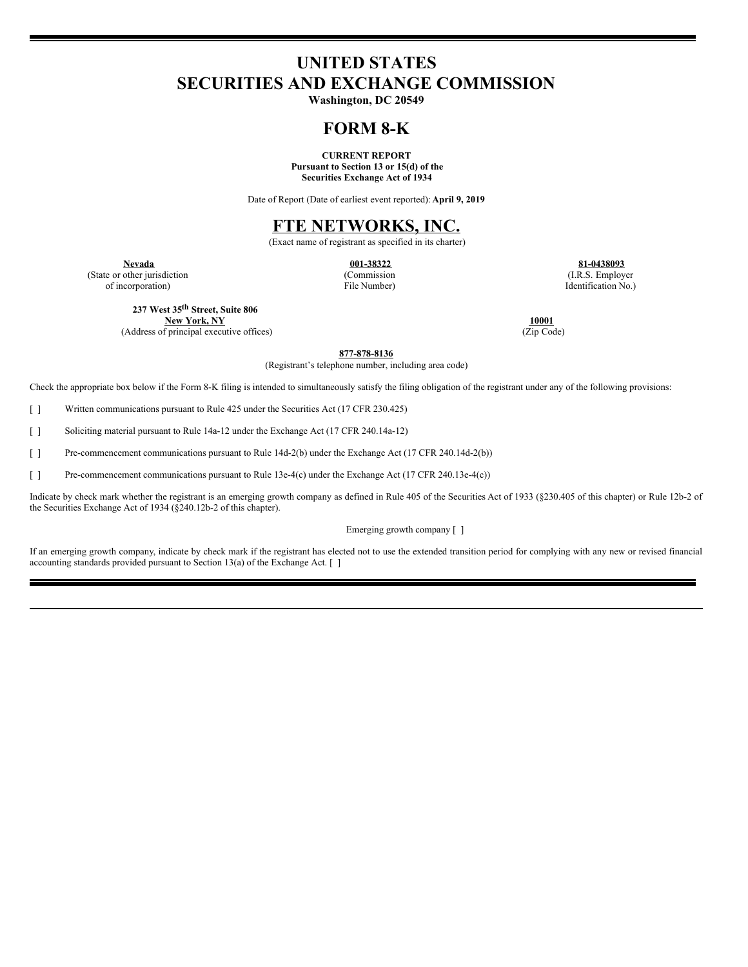# **UNITED STATES SECURITIES AND EXCHANGE COMMISSION**

**Washington, DC 20549**

## **FORM 8-K**

**CURRENT REPORT Pursuant to Section 13 or 15(d) of the Securities Exchange Act of 1934**

Date of Report (Date of earliest event reported): **April 9, 2019**

### **FTE NETWORKS, INC.**

(Exact name of registrant as specified in its charter)

(State or other jurisdiction of incorporation)

(Commission File Number)

**Nevada 001-38322 81-0438093** (I.R.S. Employer Identification No.)

**237 West 35 th Street, Suite 806**

**New York, NY 10001** (Address of principal executive offices)

**877-878-8136**

(Registrant's telephone number, including area code)

Check the appropriate box below if the Form 8-K filing is intended to simultaneously satisfy the filing obligation of the registrant under any of the following provisions:

[ ] Written communications pursuant to Rule 425 under the Securities Act (17 CFR 230.425)

[ ] Soliciting material pursuant to Rule 14a-12 under the Exchange Act (17 CFR 240.14a-12)

[ ] Pre-commencement communications pursuant to Rule 14d-2(b) under the Exchange Act (17 CFR 240.14d-2(b))

[ ] Pre-commencement communications pursuant to Rule 13e-4(c) under the Exchange Act (17 CFR 240.13e-4(c))

Indicate by check mark whether the registrant is an emerging growth company as defined in Rule 405 of the Securities Act of 1933 (§230.405 of this chapter) or Rule 12b-2 of the Securities Exchange Act of 1934 (§240.12b-2 of this chapter).

Emerging growth company [ ]

If an emerging growth company, indicate by check mark if the registrant has elected not to use the extended transition period for complying with any new or revised financial accounting standards provided pursuant to Section 13(a) of the Exchange Act. [ ]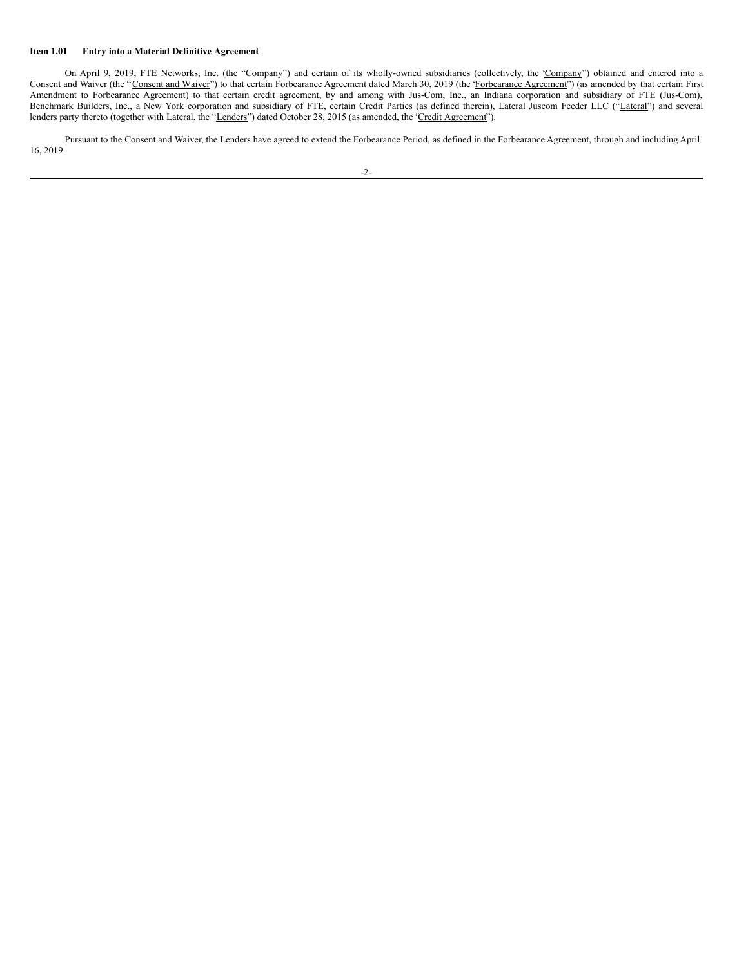#### **Item 1.01 Entry into a Material Definitive Agreement**

On April 9, 2019, FTE Networks, Inc. (the "Company") and certain of its wholly-owned subsidiaries (collectively, the 'Company") obtained and entered into a Consent and Waiver (the "Consent and Waiver") to that certain Forbearance Agreement dated March 30, 2019 (the 'Forbearance Agreement') (as amended by that certain First Amendment to Forbearance Agreement) to that certain credit agreement, by and among with Jus-Com, Inc., an Indiana corporation and subsidiary of FTE (Jus-Com), Benchmark Builders, Inc., a New York corporation and subsidiary of FTE, certain Credit Parties (as defined therein), Lateral Juscom Feeder LLC ("Lateral") and several lenders party thereto (together with Lateral, the "Lenders") dated October 28, 2015 (as amended, the 'Credit Agreement").

Pursuant to the Consent and Waiver, the Lenders have agreed to extend the Forbearance Period, as defined in the Forbearance Agreement, through and including April 16, 2019.